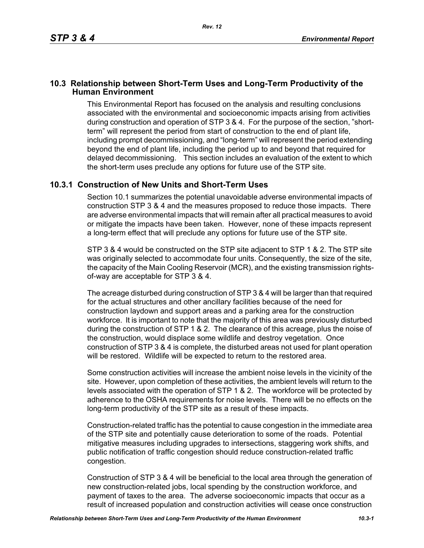## **10.3 Relationship between Short-Term Uses and Long-Term Productivity of the Human Environment**

This Environmental Report has focused on the analysis and resulting conclusions associated with the environmental and socioeconomic impacts arising from activities during construction and operation of STP 3 & 4. For the purpose of the section, "shortterm" will represent the period from start of construction to the end of plant life, including prompt decommissioning, and "long-term" will represent the period extending beyond the end of plant life, including the period up to and beyond that required for delayed decommissioning. This section includes an evaluation of the extent to which the short-term uses preclude any options for future use of the STP site.

## **10.3.1 Construction of New Units and Short-Term Uses**

Section 10.1 summarizes the potential unavoidable adverse environmental impacts of construction STP 3 & 4 and the measures proposed to reduce those impacts. There are adverse environmental impacts that will remain after all practical measures to avoid or mitigate the impacts have been taken. However, none of these impacts represent a long-term effect that will preclude any options for future use of the STP site.

STP 3 & 4 would be constructed on the STP site adjacent to STP 1 & 2. The STP site was originally selected to accommodate four units. Consequently, the size of the site, the capacity of the Main Cooling Reservoir (MCR), and the existing transmission rightsof-way are acceptable for STP 3 & 4.

The acreage disturbed during construction of STP 3 & 4 will be larger than that required for the actual structures and other ancillary facilities because of the need for construction laydown and support areas and a parking area for the construction workforce. It is important to note that the majority of this area was previously disturbed during the construction of STP 1 & 2. The clearance of this acreage, plus the noise of the construction, would displace some wildlife and destroy vegetation. Once construction of STP 3 & 4 is complete, the disturbed areas not used for plant operation will be restored. Wildlife will be expected to return to the restored area.

Some construction activities will increase the ambient noise levels in the vicinity of the site. However, upon completion of these activities, the ambient levels will return to the levels associated with the operation of STP 1 & 2. The workforce will be protected by adherence to the OSHA requirements for noise levels. There will be no effects on the long-term productivity of the STP site as a result of these impacts.

Construction-related traffic has the potential to cause congestion in the immediate area of the STP site and potentially cause deterioration to some of the roads. Potential mitigative measures including upgrades to intersections, staggering work shifts, and public notification of traffic congestion should reduce construction-related traffic congestion.

Construction of STP 3 & 4 will be beneficial to the local area through the generation of new construction-related jobs, local spending by the construction workforce, and payment of taxes to the area. The adverse socioeconomic impacts that occur as a result of increased population and construction activities will cease once construction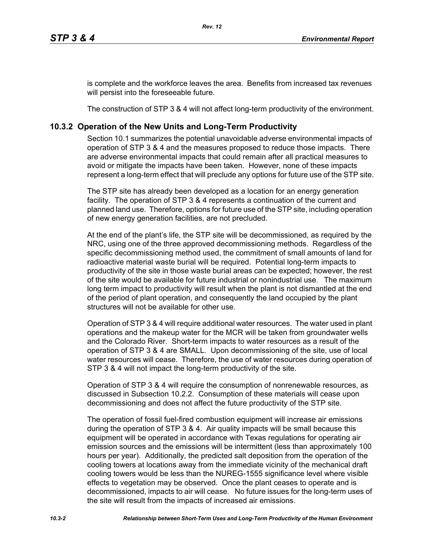is complete and the workforce leaves the area. Benefits from increased tax revenues will persist into the foreseeable future.

The construction of STP 3 & 4 will not affect long-term productivity of the environment.

## **10.3.2 Operation of the New Units and Long-Term Productivity**

Section 10.1 summarizes the potential unavoidable adverse environmental impacts of operation of STP 3 & 4 and the measures proposed to reduce those impacts. There are adverse environmental impacts that could remain after all practical measures to avoid or mitigate the impacts have been taken. However, none of these impacts represent a long-term effect that will preclude any options for future use of the STP site.

The STP site has already been developed as a location for an energy generation facility. The operation of STP 3 & 4 represents a continuation of the current and planned land use. Therefore, options for future use of the STP site, including operation of new energy generation facilities, are not precluded.

At the end of the plant's life, the STP site will be decommissioned, as required by the NRC, using one of the three approved decommissioning methods. Regardless of the specific decommissioning method used, the commitment of small amounts of land for radioactive material waste burial will be required. Potential long-term impacts to productivity of the site in those waste burial areas can be expected; however, the rest of the site would be available for future industrial or nonindustrial use. The maximum long term impact to productivity will result when the plant is not dismantled at the end of the period of plant operation, and consequently the land occupied by the plant structures will not be available for other use.

Operation of STP 3 & 4 will require additional water resources. The water used in plant operations and the makeup water for the MCR will be taken from groundwater wells and the Colorado River. Short-term impacts to water resources as a result of the operation of STP 3 & 4 are SMALL. Upon decommissioning of the site, use of local water resources will cease. Therefore, the use of water resources during operation of STP 3 & 4 will not impact the long-term productivity of the site.

Operation of STP 3 & 4 will require the consumption of nonrenewable resources, as discussed in Subsection 10.2.2. Consumption of these materials will cease upon decommissioning and does not affect the future productivity of the STP site.

The operation of fossil fuel-fired combustion equipment will increase air emissions during the operation of STP 3 & 4. Air quality impacts will be small because this equipment will be operated in accordance with Texas regulations for operating air emission sources and the emissions will be intermittent (less than approximately 100 hours per year). Additionally, the predicted salt deposition from the operation of the cooling towers at locations away from the immediate vicinity of the mechanical draft cooling towers would be less than the NUREG-1555 significance level where visible effects to vegetation may be observed. Once the plant ceases to operate and is decommissioned, impacts to air will cease. No future issues for the long-term uses of the site will result from the impacts of increased air emissions.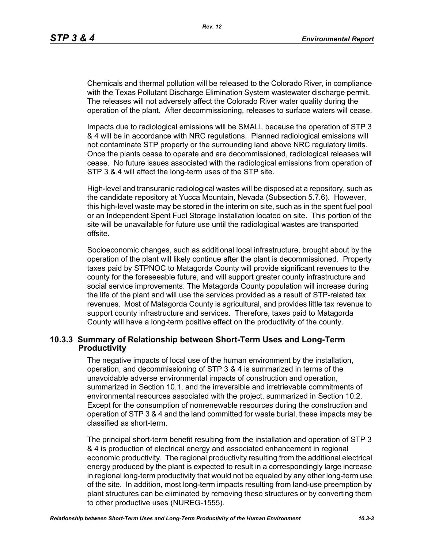Chemicals and thermal pollution will be released to the Colorado River, in compliance with the Texas Pollutant Discharge Elimination System wastewater discharge permit. The releases will not adversely affect the Colorado River water quality during the operation of the plant. After decommissioning, releases to surface waters will cease.

Impacts due to radiological emissions will be SMALL because the operation of STP 3 & 4 will be in accordance with NRC regulations. Planned radiological emissions will not contaminate STP property or the surrounding land above NRC regulatory limits. Once the plants cease to operate and are decommissioned, radiological releases will cease. No future issues associated with the radiological emissions from operation of STP 3 & 4 will affect the long-term uses of the STP site.

High-level and transuranic radiological wastes will be disposed at a repository, such as the candidate repository at Yucca Mountain, Nevada (Subsection 5.7.6). However, this high-level waste may be stored in the interim on site, such as in the spent fuel pool or an Independent Spent Fuel Storage Installation located on site. This portion of the site will be unavailable for future use until the radiological wastes are transported offsite.

Socioeconomic changes, such as additional local infrastructure, brought about by the operation of the plant will likely continue after the plant is decommissioned. Property taxes paid by STPNOC to Matagorda County will provide significant revenues to the county for the foreseeable future, and will support greater county infrastructure and social service improvements. The Matagorda County population will increase during the life of the plant and will use the services provided as a result of STP-related tax revenues. Most of Matagorda County is agricultural, and provides little tax revenue to support county infrastructure and services. Therefore, taxes paid to Matagorda County will have a long-term positive effect on the productivity of the county.

## **10.3.3 Summary of Relationship between Short-Term Uses and Long-Term Productivity**

The negative impacts of local use of the human environment by the installation, operation, and decommissioning of STP 3 & 4 is summarized in terms of the unavoidable adverse environmental impacts of construction and operation, summarized in Section 10.1, and the irreversible and irretrievable commitments of environmental resources associated with the project, summarized in Section 10.2. Except for the consumption of nonrenewable resources during the construction and operation of STP 3 & 4 and the land committed for waste burial, these impacts may be classified as short-term.

The principal short-term benefit resulting from the installation and operation of STP 3 & 4 is production of electrical energy and associated enhancement in regional economic productivity. The regional productivity resulting from the additional electrical energy produced by the plant is expected to result in a correspondingly large increase in regional long-term productivity that would not be equaled by any other long-term use of the site. In addition, most long-term impacts resulting from land-use preemption by plant structures can be eliminated by removing these structures or by converting them to other productive uses (NUREG-1555).